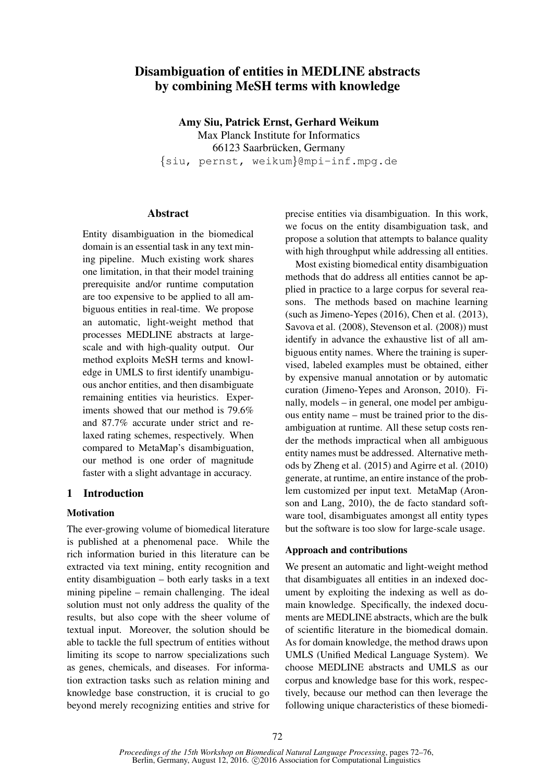# Disambiguation of entities in MEDLINE abstracts by combining MeSH terms with knowledge

Amy Siu, Patrick Ernst, Gerhard Weikum Max Planck Institute for Informatics 66123 Saarbrücken, Germany {siu, pernst, weikum}@mpi-inf.mpg.de

## Abstract

Entity disambiguation in the biomedical domain is an essential task in any text mining pipeline. Much existing work shares one limitation, in that their model training prerequisite and/or runtime computation are too expensive to be applied to all ambiguous entities in real-time. We propose an automatic, light-weight method that processes MEDLINE abstracts at largescale and with high-quality output. Our method exploits MeSH terms and knowledge in UMLS to first identify unambiguous anchor entities, and then disambiguate remaining entities via heuristics. Experiments showed that our method is 79.6% and 87.7% accurate under strict and relaxed rating schemes, respectively. When compared to MetaMap's disambiguation, our method is one order of magnitude faster with a slight advantage in accuracy.

# 1 Introduction

## **Motivation**

The ever-growing volume of biomedical literature is published at a phenomenal pace. While the rich information buried in this literature can be extracted via text mining, entity recognition and entity disambiguation – both early tasks in a text mining pipeline – remain challenging. The ideal solution must not only address the quality of the results, but also cope with the sheer volume of textual input. Moreover, the solution should be able to tackle the full spectrum of entities without limiting its scope to narrow specializations such as genes, chemicals, and diseases. For information extraction tasks such as relation mining and knowledge base construction, it is crucial to go beyond merely recognizing entities and strive for

precise entities via disambiguation. In this work, we focus on the entity disambiguation task, and propose a solution that attempts to balance quality with high throughput while addressing all entities.

Most existing biomedical entity disambiguation methods that do address all entities cannot be applied in practice to a large corpus for several reasons. The methods based on machine learning (such as Jimeno-Yepes (2016), Chen et al. (2013), Savova et al. (2008), Stevenson et al. (2008)) must identify in advance the exhaustive list of all ambiguous entity names. Where the training is supervised, labeled examples must be obtained, either by expensive manual annotation or by automatic curation (Jimeno-Yepes and Aronson, 2010). Finally, models – in general, one model per ambiguous entity name – must be trained prior to the disambiguation at runtime. All these setup costs render the methods impractical when all ambiguous entity names must be addressed. Alternative methods by Zheng et al. (2015) and Agirre et al. (2010) generate, at runtime, an entire instance of the problem customized per input text. MetaMap (Aronson and Lang, 2010), the de facto standard software tool, disambiguates amongst all entity types but the software is too slow for large-scale usage.

## Approach and contributions

We present an automatic and light-weight method that disambiguates all entities in an indexed document by exploiting the indexing as well as domain knowledge. Specifically, the indexed documents are MEDLINE abstracts, which are the bulk of scientific literature in the biomedical domain. As for domain knowledge, the method draws upon UMLS (Unified Medical Language System). We choose MEDLINE abstracts and UMLS as our corpus and knowledge base for this work, respectively, because our method can then leverage the following unique characteristics of these biomedi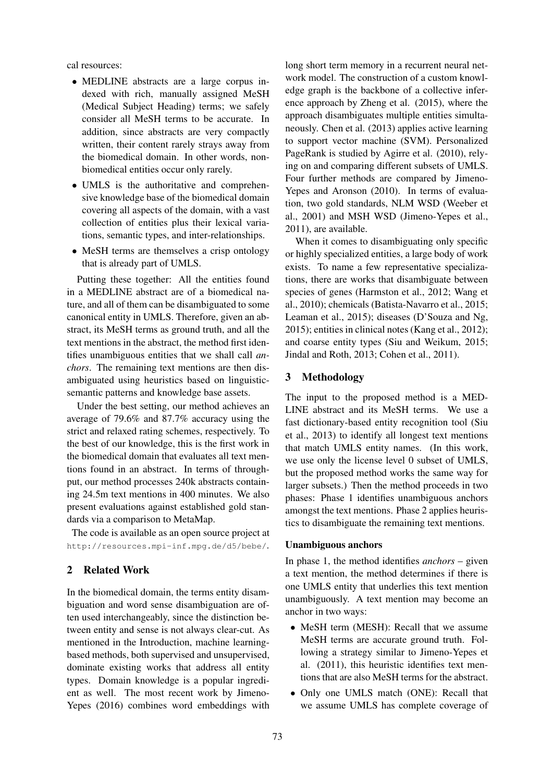cal resources:

- MEDLINE abstracts are a large corpus indexed with rich, manually assigned MeSH (Medical Subject Heading) terms; we safely consider all MeSH terms to be accurate. In addition, since abstracts are very compactly written, their content rarely strays away from the biomedical domain. In other words, nonbiomedical entities occur only rarely.
- UMLS is the authoritative and comprehensive knowledge base of the biomedical domain covering all aspects of the domain, with a vast collection of entities plus their lexical variations, semantic types, and inter-relationships.
- MeSH terms are themselves a crisp ontology that is already part of UMLS.

Putting these together: All the entities found in a MEDLINE abstract are of a biomedical nature, and all of them can be disambiguated to some canonical entity in UMLS. Therefore, given an abstract, its MeSH terms as ground truth, and all the text mentions in the abstract, the method first identifies unambiguous entities that we shall call *anchors*. The remaining text mentions are then disambiguated using heuristics based on linguisticsemantic patterns and knowledge base assets.

Under the best setting, our method achieves an average of 79.6% and 87.7% accuracy using the strict and relaxed rating schemes, respectively. To the best of our knowledge, this is the first work in the biomedical domain that evaluates all text mentions found in an abstract. In terms of throughput, our method processes 240k abstracts containing 24.5m text mentions in 400 minutes. We also present evaluations against established gold standards via a comparison to MetaMap.

The code is available as an open source project at http://resources.mpi-inf.mpg.de/d5/bebe/.

# 2 Related Work

In the biomedical domain, the terms entity disambiguation and word sense disambiguation are often used interchangeably, since the distinction between entity and sense is not always clear-cut. As mentioned in the Introduction, machine learningbased methods, both supervised and unsupervised, dominate existing works that address all entity types. Domain knowledge is a popular ingredient as well. The most recent work by Jimeno-Yepes (2016) combines word embeddings with

long short term memory in a recurrent neural network model. The construction of a custom knowledge graph is the backbone of a collective inference approach by Zheng et al. (2015), where the approach disambiguates multiple entities simultaneously. Chen et al. (2013) applies active learning to support vector machine (SVM). Personalized PageRank is studied by Agirre et al. (2010), relying on and comparing different subsets of UMLS. Four further methods are compared by Jimeno-Yepes and Aronson (2010). In terms of evaluation, two gold standards, NLM WSD (Weeber et al., 2001) and MSH WSD (Jimeno-Yepes et al., 2011), are available.

When it comes to disambiguating only specific or highly specialized entities, a large body of work exists. To name a few representative specializations, there are works that disambiguate between species of genes (Harmston et al., 2012; Wang et al., 2010); chemicals (Batista-Navarro et al., 2015; Leaman et al., 2015); diseases (D'Souza and Ng, 2015); entities in clinical notes (Kang et al., 2012); and coarse entity types (Siu and Weikum, 2015; Jindal and Roth, 2013; Cohen et al., 2011).

### 3 Methodology

The input to the proposed method is a MED-LINE abstract and its MeSH terms. We use a fast dictionary-based entity recognition tool (Siu et al., 2013) to identify all longest text mentions that match UMLS entity names. (In this work, we use only the license level 0 subset of UMLS, but the proposed method works the same way for larger subsets.) Then the method proceeds in two phases: Phase 1 identifies unambiguous anchors amongst the text mentions. Phase 2 applies heuristics to disambiguate the remaining text mentions.

#### Unambiguous anchors

In phase 1, the method identifies *anchors* – given a text mention, the method determines if there is one UMLS entity that underlies this text mention unambiguously. A text mention may become an anchor in two ways:

- MeSH term (MESH): Recall that we assume MeSH terms are accurate ground truth. Following a strategy similar to Jimeno-Yepes et al. (2011), this heuristic identifies text mentions that are also MeSH terms for the abstract.
- Only one UMLS match (ONE): Recall that we assume UMLS has complete coverage of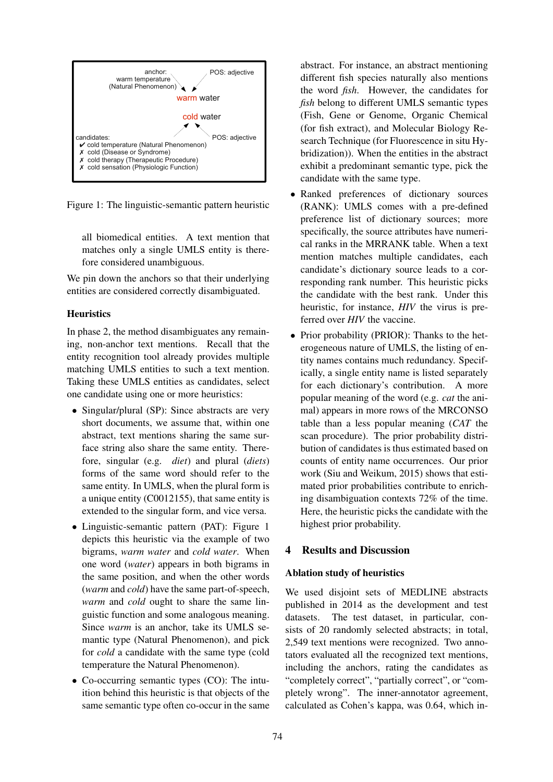

Figure 1: The linguistic-semantic pattern heuristic

all biomedical entities. A text mention that matches only a single UMLS entity is therefore considered unambiguous.

We pin down the anchors so that their underlying entities are considered correctly disambiguated.

## **Heuristics**

In phase 2, the method disambiguates any remaining, non-anchor text mentions. Recall that the entity recognition tool already provides multiple matching UMLS entities to such a text mention. Taking these UMLS entities as candidates, select one candidate using one or more heuristics:

- Singular/plural (SP): Since abstracts are very short documents, we assume that, within one abstract, text mentions sharing the same surface string also share the same entity. Therefore, singular (e.g. *diet*) and plural (*diets*) forms of the same word should refer to the same entity. In UMLS, when the plural form is a unique entity (C0012155), that same entity is extended to the singular form, and vice versa.
- Linguistic-semantic pattern (PAT): Figure 1 depicts this heuristic via the example of two bigrams, *warm water* and *cold water*. When one word (*water*) appears in both bigrams in the same position, and when the other words (*warm* and *cold*) have the same part-of-speech, *warm* and *cold* ought to share the same linguistic function and some analogous meaning. Since *warm* is an anchor, take its UMLS semantic type (Natural Phenomenon), and pick for *cold* a candidate with the same type (cold temperature the Natural Phenomenon).
- Co-occurring semantic types (CO): The intuition behind this heuristic is that objects of the same semantic type often co-occur in the same

abstract. For instance, an abstract mentioning different fish species naturally also mentions the word *fish*. However, the candidates for *fish* belong to different UMLS semantic types (Fish, Gene or Genome, Organic Chemical (for fish extract), and Molecular Biology Research Technique (for Fluorescence in situ Hybridization)). When the entities in the abstract exhibit a predominant semantic type, pick the candidate with the same type.

- Ranked preferences of dictionary sources (RANK): UMLS comes with a pre-defined preference list of dictionary sources; more specifically, the source attributes have numerical ranks in the MRRANK table. When a text mention matches multiple candidates, each candidate's dictionary source leads to a corresponding rank number. This heuristic picks the candidate with the best rank. Under this heuristic, for instance, *HIV* the virus is preferred over *HIV* the vaccine.
- Prior probability (PRIOR): Thanks to the heterogeneous nature of UMLS, the listing of entity names contains much redundancy. Specifically, a single entity name is listed separately for each dictionary's contribution. A more popular meaning of the word (e.g. *cat* the animal) appears in more rows of the MRCONSO table than a less popular meaning (*CAT* the scan procedure). The prior probability distribution of candidates is thus estimated based on counts of entity name occurrences. Our prior work (Siu and Weikum, 2015) shows that estimated prior probabilities contribute to enriching disambiguation contexts 72% of the time. Here, the heuristic picks the candidate with the highest prior probability.

# 4 Results and Discussion

### Ablation study of heuristics

We used disjoint sets of MEDLINE abstracts published in 2014 as the development and test datasets. The test dataset, in particular, consists of 20 randomly selected abstracts; in total, 2,549 text mentions were recognized. Two annotators evaluated all the recognized text mentions, including the anchors, rating the candidates as "completely correct", "partially correct", or "completely wrong". The inner-annotator agreement, calculated as Cohen's kappa, was 0.64, which in-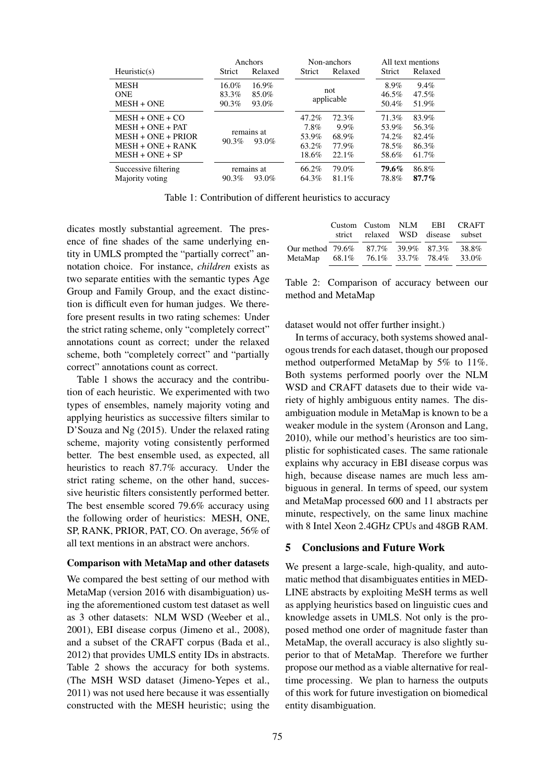|                                                                                                             | Anchors<br>Non-anchors       |                            |                                          | All text mentions                              |                                           |                                           |
|-------------------------------------------------------------------------------------------------------------|------------------------------|----------------------------|------------------------------------------|------------------------------------------------|-------------------------------------------|-------------------------------------------|
| Heuristic(s)                                                                                                | <b>Strict</b>                | Relaxed                    | Strict                                   | Relaxed                                        | <b>Strict</b>                             | Relaxed                                   |
| <b>MESH</b><br><b>ONE</b><br>$MESH + ONE$                                                                   | $16.0\%$<br>83.3%<br>90.3%   | $16.9\%$<br>85.0%<br>93.0% | not<br>applicable                        |                                                | 8.9%<br>46.5%<br>$50.4\%$                 | 9.4%<br>47.5%<br>51.9%                    |
| $MESH + ONE + CO$<br>$MESH + ONE + PAT$<br>$MESH + ONE + PRIOR$<br>$MESH + ONE + RANK$<br>$MESH + ONE + SP$ | remains at<br>90.3%<br>93.0% |                            | 47.2%<br>7.8%<br>53.9%<br>63.2%<br>18.6% | 72.3%<br>$9.9\%$<br>68.9%<br>77.9%<br>$22.1\%$ | 71.3%<br>53.9%<br>74.2%<br>78.5%<br>58.6% | 83.9%<br>56.3%<br>82.4%<br>86.3%<br>61.7% |
| Successive filtering<br>Majority voting                                                                     | 90.3%                        | remains at<br>93.0%        | 66.2%<br>64.3%                           | 79.0%<br>81.1%                                 | 79.6%<br>78.8%                            | 86.8%<br>$87.7\%$                         |

Table 1: Contribution of different heuristics to accuracy

dicates mostly substantial agreement. The presence of fine shades of the same underlying entity in UMLS prompted the "partially correct" annotation choice. For instance, *children* exists as two separate entities with the semantic types Age Group and Family Group, and the exact distinction is difficult even for human judges. We therefore present results in two rating schemes: Under the strict rating scheme, only "completely correct" annotations count as correct; under the relaxed scheme, both "completely correct" and "partially correct" annotations count as correct.

Table 1 shows the accuracy and the contribution of each heuristic. We experimented with two types of ensembles, namely majority voting and applying heuristics as successive filters similar to D'Souza and Ng (2015). Under the relaxed rating scheme, majority voting consistently performed better. The best ensemble used, as expected, all heuristics to reach 87.7% accuracy. Under the strict rating scheme, on the other hand, successive heuristic filters consistently performed better. The best ensemble scored 79.6% accuracy using the following order of heuristics: MESH, ONE, SP, RANK, PRIOR, PAT, CO. On average, 56% of all text mentions in an abstract were anchors.

#### Comparison with MetaMap and other datasets

We compared the best setting of our method with MetaMap (version 2016 with disambiguation) using the aforementioned custom test dataset as well as 3 other datasets: NLM WSD (Weeber et al., 2001), EBI disease corpus (Jimeno et al., 2008), and a subset of the CRAFT corpus (Bada et al., 2012) that provides UMLS entity IDs in abstracts. Table 2 shows the accuracy for both systems. (The MSH WSD dataset (Jimeno-Yepes et al., 2011) was not used here because it was essentially constructed with the MESH heuristic; using the

|                                                                             | Custom Custom NLM EBI CRAFT<br>strict relaxed WSD disease subset |  |                |
|-----------------------------------------------------------------------------|------------------------------------------------------------------|--|----------------|
| Our method $79.6\%$ 87.7\% 39.9\% 87.3\%<br>MetaMap 68.1% 76.1% 33.7% 78.4% |                                                                  |  | 38.8%<br>33.0% |

Table 2: Comparison of accuracy between our method and MetaMap

dataset would not offer further insight.)

In terms of accuracy, both systems showed analogous trends for each dataset, though our proposed method outperformed MetaMap by 5% to 11%. Both systems performed poorly over the NLM WSD and CRAFT datasets due to their wide variety of highly ambiguous entity names. The disambiguation module in MetaMap is known to be a weaker module in the system (Aronson and Lang, 2010), while our method's heuristics are too simplistic for sophisticated cases. The same rationale explains why accuracy in EBI disease corpus was high, because disease names are much less ambiguous in general. In terms of speed, our system and MetaMap processed 600 and 11 abstracts per minute, respectively, on the same linux machine with 8 Intel Xeon 2.4GHz CPUs and 48GB RAM.

#### 5 Conclusions and Future Work

We present a large-scale, high-quality, and automatic method that disambiguates entities in MED-LINE abstracts by exploiting MeSH terms as well as applying heuristics based on linguistic cues and knowledge assets in UMLS. Not only is the proposed method one order of magnitude faster than MetaMap, the overall accuracy is also slightly superior to that of MetaMap. Therefore we further propose our method as a viable alternative for realtime processing. We plan to harness the outputs of this work for future investigation on biomedical entity disambiguation.